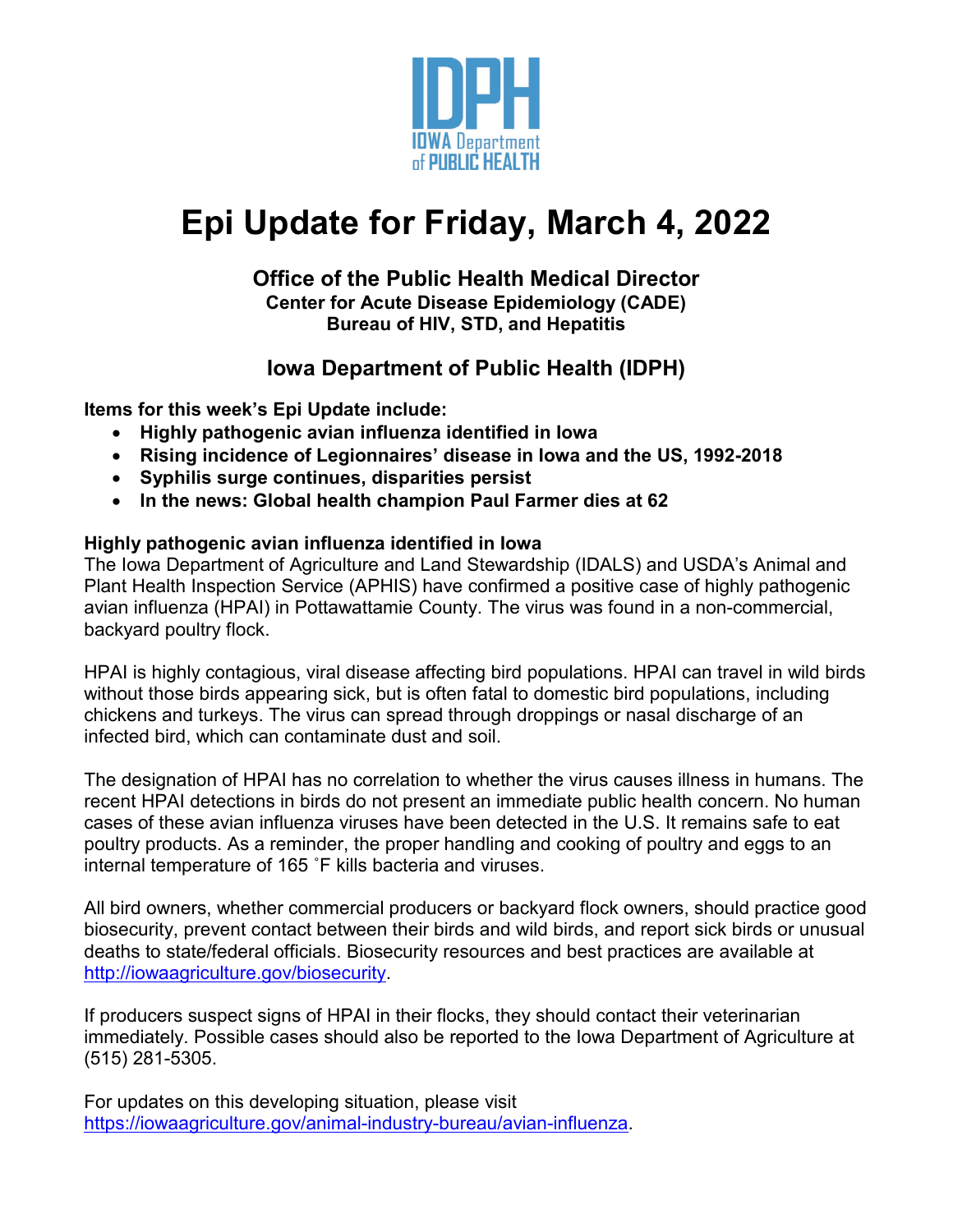

# **Epi Update for Friday, March 4, 2022**

#### **Office of the Public Health Medical Director Center for Acute Disease Epidemiology (CADE) Bureau of HIV, STD, and Hepatitis**

## **Iowa Department of Public Health (IDPH)**

**Items for this week's Epi Update include:**

- **Highly pathogenic avian influenza identified in Iowa**
- **Rising incidence of Legionnaires' disease in Iowa and the US, 1992-2018**
- **Syphilis surge continues, disparities persist**
- **In the news: Global health champion Paul Farmer dies at 62**

### **Highly pathogenic avian influenza identified in Iowa**

The Iowa Department of Agriculture and Land Stewardship (IDALS) and USDA's Animal and Plant Health Inspection Service (APHIS) have confirmed a positive case of highly pathogenic avian influenza (HPAI) in Pottawattamie County. The virus was found in a non-commercial, backyard poultry flock.

HPAI is highly contagious, viral disease affecting bird populations. HPAI can travel in wild birds without those birds appearing sick, but is often fatal to domestic bird populations, including chickens and turkeys. The virus can spread through droppings or nasal discharge of an infected bird, which can contaminate dust and soil.

The designation of HPAI has no correlation to whether the virus causes illness in humans. The recent HPAI detections in birds do not present an immediate public health concern. No human cases of these avian influenza viruses have been detected in the U.S. It remains safe to eat poultry products. As a reminder, the proper handling and cooking of poultry and eggs to an internal temperature of 165 ˚F kills bacteria and viruses.

All bird owners, whether commercial producers or backyard flock owners, should practice good biosecurity, prevent contact between their birds and wild birds, and report sick birds or unusual deaths to state/federal officials. Biosecurity resources and best practices are available at [http://iowaagriculture.gov/biosecurity.](http://iowaagriculture.gov/biosecurity)

If producers suspect signs of HPAI in their flocks, they should contact their veterinarian immediately. Possible cases should also be reported to the Iowa Department of Agriculture at (515) 281-5305.

For updates on this developing situation, please visit [https://iowaagriculture.gov/animal-industry-bureau/avian-influenza.](https://iowaagriculture.gov/animal-industry-bureau/avian-influenza)